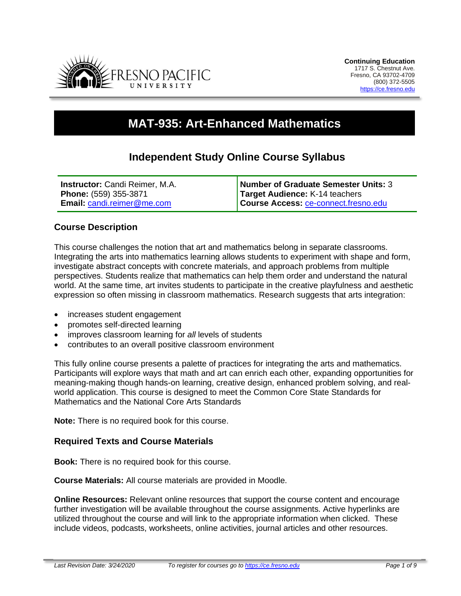

# **MAT-935: Art-Enhanced Mathematics**

# **Independent Study Online Course Syllabus**

| <b>Instructor:</b> Candi Reimer, M.A. | Number of Graduate Semester Units: 3 |
|---------------------------------------|--------------------------------------|
| Phone: (559) 355-3871                 | Target Audience: K-14 teachers       |
| <b>Email: candi.reimer@me.com</b>     | Course Access: ce-connect.fresno.edu |

#### **Course Description**

This course challenges the notion that art and mathematics belong in separate classrooms. Integrating the arts into mathematics learning allows students to experiment with shape and form, investigate abstract concepts with concrete materials, and approach problems from multiple perspectives. Students realize that mathematics can help them order and understand the natural world. At the same time, art invites students to participate in the creative playfulness and aesthetic expression so often missing in classroom mathematics. Research suggests that arts integration:

- increases student engagement
- promotes self-directed learning
- improves classroom learning for *all* levels of students
- contributes to an overall positive classroom environment

This fully online course presents a palette of practices for integrating the arts and mathematics. Participants will explore ways that math and art can enrich each other, expanding opportunities for meaning-making though hands-on learning, creative design, enhanced problem solving, and realworld application. This course is designed to meet the Common Core State Standards for Mathematics and the National Core Arts Standards

**Note:** There is no required book for this course.

#### **Required Texts and Course Materials**

**Book:** There is no required book for this course.

**Course Materials:** All course materials are provided in Moodle.

**Online Resources:** Relevant online resources that support the course content and encourage further investigation will be available throughout the course assignments. Active hyperlinks are utilized throughout the course and will link to the appropriate information when clicked. These include videos, podcasts, worksheets, online activities, journal articles and other resources.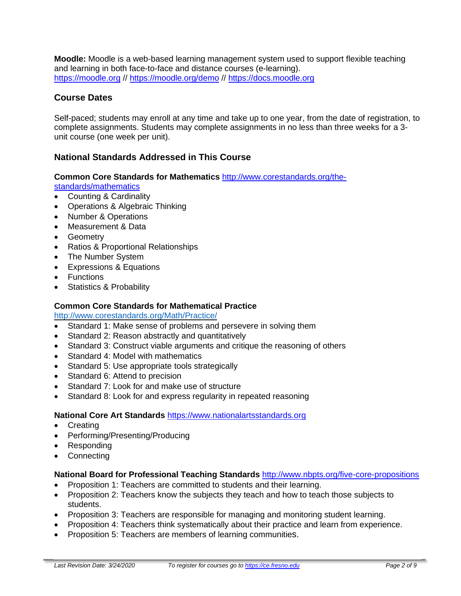**Moodle:** Moodle is a web-based learning management system used to support flexible teaching and learning in both face-to-face and distance courses (e-learning). [https://moodle.org](https://moodle.org/) // <https://moodle.org/demo> // [https://docs.moodle.org](https://docs.moodle.org/)

# **Course Dates**

Self-paced; students may enroll at any time and take up to one year, from the date of registration, to complete assignments. Students may complete assignments in no less than three weeks for a 3 unit course (one week per unit).

# **National Standards Addressed in This Course**

#### **Common Core Standards for Mathematics** [http://www.corestandards.org/the-](http://www.corestandards.org/the-standards/mathematics)

[standards/mathematics](http://www.corestandards.org/the-standards/mathematics)

- Counting & Cardinality
- Operations & Algebraic Thinking
- Number & Operations
- Measurement & Data
- Geometry
- Ratios & Proportional Relationships
- The Number System
- Expressions & Equations
- Functions
- Statistics & Probability

#### **Common Core Standards for Mathematical Practice**

<http://www.corestandards.org/Math/Practice/>

- Standard 1: Make sense of problems and persevere in solving them
- Standard 2: Reason abstractly and quantitatively
- Standard 3: Construct viable arguments and critique the reasoning of others
- Standard 4: Model with mathematics
- Standard 5: Use appropriate tools strategically
- Standard 6: Attend to precision
- Standard 7: Look for and make use of structure
- Standard 8: Look for and express regularity in repeated reasoning

#### **National Core Art Standards** [https://www.nationalartsstandards.org](https://www.nationalartsstandards.org/)

- Creating
- Performing/Presenting/Producing
- Responding
- Connecting

#### **National Board for Professional Teaching Standards** <http://www.nbpts.org/five-core-propositions>

- Proposition 1: Teachers are committed to students and their learning.
- Proposition 2: Teachers know the subjects they teach and how to teach those subjects to students.
- Proposition 3: Teachers are responsible for managing and monitoring student learning.
- Proposition 4: Teachers think systematically about their practice and learn from experience.
- Proposition 5: Teachers are members of learning communities.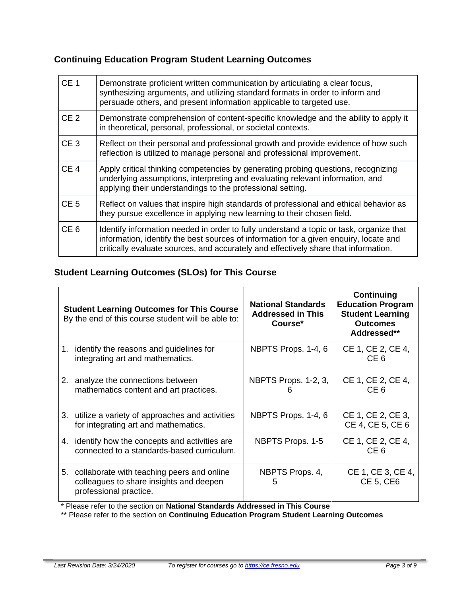# **Continuing Education Program Student Learning Outcomes**

| CE <sub>1</sub> | Demonstrate proficient written communication by articulating a clear focus,<br>synthesizing arguments, and utilizing standard formats in order to inform and<br>persuade others, and present information applicable to targeted use.                                    |  |
|-----------------|-------------------------------------------------------------------------------------------------------------------------------------------------------------------------------------------------------------------------------------------------------------------------|--|
| CE <sub>2</sub> | Demonstrate comprehension of content-specific knowledge and the ability to apply it<br>in theoretical, personal, professional, or societal contexts.                                                                                                                    |  |
| CE <sub>3</sub> | Reflect on their personal and professional growth and provide evidence of how such<br>reflection is utilized to manage personal and professional improvement.                                                                                                           |  |
| CE <sub>4</sub> | Apply critical thinking competencies by generating probing questions, recognizing<br>underlying assumptions, interpreting and evaluating relevant information, and<br>applying their understandings to the professional setting.                                        |  |
| CE <sub>5</sub> | Reflect on values that inspire high standards of professional and ethical behavior as<br>they pursue excellence in applying new learning to their chosen field.                                                                                                         |  |
| CE <sub>6</sub> | Identify information needed in order to fully understand a topic or task, organize that<br>information, identify the best sources of information for a given enquiry, locate and<br>critically evaluate sources, and accurately and effectively share that information. |  |

# **Student Learning Outcomes (SLOs) for This Course**

| <b>Student Learning Outcomes for This Course</b><br>By the end of this course student will be able to: |                                                                                                                    | <b>National Standards</b><br><b>Addressed in This</b><br>Course* | Continuing<br><b>Education Program</b><br><b>Student Learning</b><br><b>Outcomes</b><br>Addressed** |
|--------------------------------------------------------------------------------------------------------|--------------------------------------------------------------------------------------------------------------------|------------------------------------------------------------------|-----------------------------------------------------------------------------------------------------|
|                                                                                                        | 1. identify the reasons and guidelines for<br>integrating art and mathematics.                                     | NBPTS Props. 1-4, 6                                              | CE 1, CE 2, CE 4,<br>CE <sub>6</sub>                                                                |
|                                                                                                        | 2. analyze the connections between<br>mathematics content and art practices.                                       | NBPTS Props. 1-2, 3,<br>h                                        | CE 1, CE 2, CE 4,<br>CE <sub>6</sub>                                                                |
|                                                                                                        | 3.<br>utilize a variety of approaches and activities<br>for integrating art and mathematics.                       | NBPTS Props. 1-4, 6                                              | CE 1, CE 2, CE 3,<br>CE 4, CE 5, CE 6                                                               |
|                                                                                                        | 4. identify how the concepts and activities are<br>connected to a standards-based curriculum.                      | NBPTS Props. 1-5                                                 | CE 1, CE 2, CE 4,<br>CE <sub>6</sub>                                                                |
|                                                                                                        | 5. collaborate with teaching peers and online<br>colleagues to share insights and deepen<br>professional practice. | NBPTS Props. 4,<br>5                                             | CE 1, CE 3, CE 4,<br>CE 5, CE6                                                                      |

\* Please refer to the section on **National Standards Addressed in This Course**

\*\* Please refer to the section on **Continuing Education Program Student Learning Outcomes**

 $\blacksquare$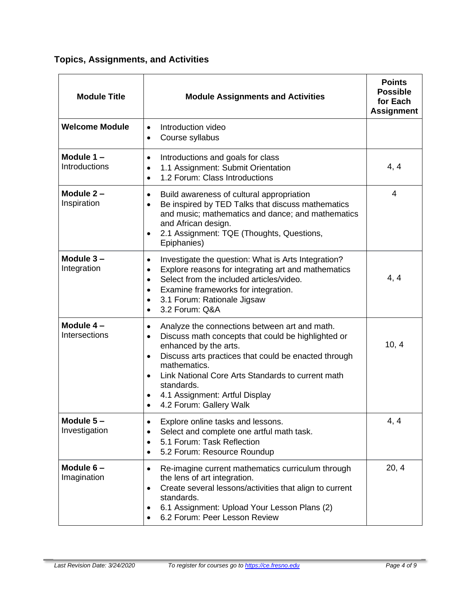**Topics, Assignments, and Activities**

| <b>Module Title</b>           | <b>Module Assignments and Activities</b>                                                                                                                                                                                                                                                                                                                                    | <b>Points</b><br><b>Possible</b><br>for Each<br><b>Assignment</b> |
|-------------------------------|-----------------------------------------------------------------------------------------------------------------------------------------------------------------------------------------------------------------------------------------------------------------------------------------------------------------------------------------------------------------------------|-------------------------------------------------------------------|
| <b>Welcome Module</b>         | Introduction video<br>$\bullet$<br>Course syllabus<br>$\bullet$                                                                                                                                                                                                                                                                                                             |                                                                   |
| Module $1 -$<br>Introductions | Introductions and goals for class<br>$\bullet$<br>1.1 Assignment: Submit Orientation<br>$\bullet$<br>1.2 Forum: Class Introductions<br>$\bullet$                                                                                                                                                                                                                            | 4, 4                                                              |
| Module $2 -$<br>Inspiration   | Build awareness of cultural appropriation<br>$\bullet$<br>Be inspired by TED Talks that discuss mathematics<br>and music; mathematics and dance; and mathematics<br>and African design.<br>2.1 Assignment: TQE (Thoughts, Questions,<br>$\bullet$<br>Epiphanies)                                                                                                            | 4                                                                 |
| Module $3 -$<br>Integration   | Investigate the question: What is Arts Integration?<br>$\bullet$<br>Explore reasons for integrating art and mathematics<br>$\bullet$<br>Select from the included articles/video.<br>$\bullet$<br>Examine frameworks for integration.<br>$\bullet$<br>3.1 Forum: Rationale Jigsaw<br>3.2 Forum: Q&A                                                                          | 4, 4                                                              |
| Module 4-<br>Intersections    | Analyze the connections between art and math.<br>Discuss math concepts that could be highlighted or<br>$\bullet$<br>enhanced by the arts.<br>Discuss arts practices that could be enacted through<br>$\bullet$<br>mathematics.<br>Link National Core Arts Standards to current math<br>standards.<br>4.1 Assignment: Artful Display<br>4.2 Forum: Gallery Walk<br>$\bullet$ | 10, 4                                                             |
| Module $5-$<br>Investigation  | Explore online tasks and lessons.<br>$\bullet$<br>Select and complete one artful math task.<br>5.1 Forum: Task Reflection<br>$\bullet$<br>5.2 Forum: Resource Roundup                                                                                                                                                                                                       | 4, 4                                                              |
| Module $6-$<br>Imagination    | Re-imagine current mathematics curriculum through<br>$\bullet$<br>the lens of art integration.<br>Create several lessons/activities that align to current<br>$\bullet$<br>standards.<br>6.1 Assignment: Upload Your Lesson Plans (2)<br>6.2 Forum: Peer Lesson Review                                                                                                       | 20, 4                                                             |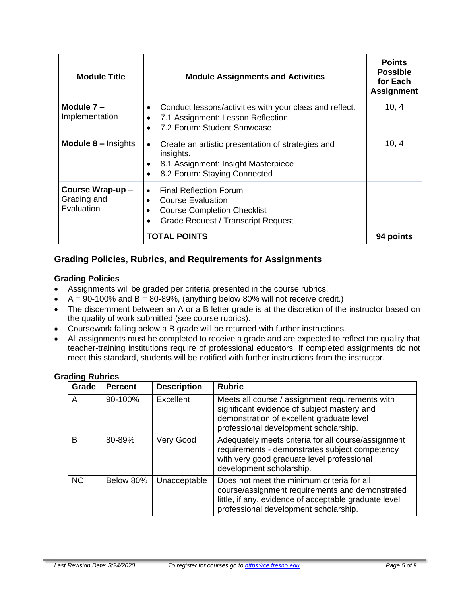| <b>Module Title</b>                          | <b>Module Assignments and Activities</b>                                                                                                                               | <b>Points</b><br><b>Possible</b><br>for Each<br><b>Assignment</b> |
|----------------------------------------------|------------------------------------------------------------------------------------------------------------------------------------------------------------------------|-------------------------------------------------------------------|
| Module $7 -$<br>Implementation               | Conduct lessons/activities with your class and reflect.<br>7.1 Assignment: Lesson Reflection<br>7.2 Forum: Student Showcase                                            | 10, 4                                                             |
| <b>Module 8 – Insights</b>                   | Create an artistic presentation of strategies and<br>$\bullet$<br>insights.<br>8.1 Assignment: Insight Masterpiece<br>8.2 Forum: Staying Connected                     | 10, 4                                                             |
| Course Wrap-up-<br>Grading and<br>Evaluation | <b>Final Reflection Forum</b><br>$\bullet$<br><b>Course Evaluation</b><br>$\bullet$<br><b>Course Completion Checklist</b><br><b>Grade Request / Transcript Request</b> |                                                                   |
|                                              | <b>TOTAL POINTS</b>                                                                                                                                                    |                                                                   |

# **Grading Policies, Rubrics, and Requirements for Assignments**

#### **Grading Policies**

- Assignments will be graded per criteria presented in the course rubrics.
- $A = 90-100\%$  and  $B = 80-89\%$ , (anything below 80% will not receive credit.)
- The discernment between an A or a B letter grade is at the discretion of the instructor based on the quality of work submitted (see course rubrics).
- Coursework falling below a B grade will be returned with further instructions.
- All assignments must be completed to receive a grade and are expected to reflect the quality that teacher-training institutions require of professional educators. If completed assignments do not meet this standard, students will be notified with further instructions from the instructor.

| Grade     | <b>Percent</b> | <b>Description</b> | <b>Rubric</b>                                                                                                                                                                                   |
|-----------|----------------|--------------------|-------------------------------------------------------------------------------------------------------------------------------------------------------------------------------------------------|
| A         | 90-100%        | Excellent          | Meets all course / assignment requirements with<br>significant evidence of subject mastery and<br>demonstration of excellent graduate level<br>professional development scholarship.            |
| B         | 80-89%         | Very Good          | Adequately meets criteria for all course/assignment<br>requirements - demonstrates subject competency<br>with very good graduate level professional<br>development scholarship.                 |
| <b>NC</b> | Below 80%      | Unacceptable       | Does not meet the minimum criteria for all<br>course/assignment requirements and demonstrated<br>little, if any, evidence of acceptable graduate level<br>professional development scholarship. |

#### **Grading Rubrics**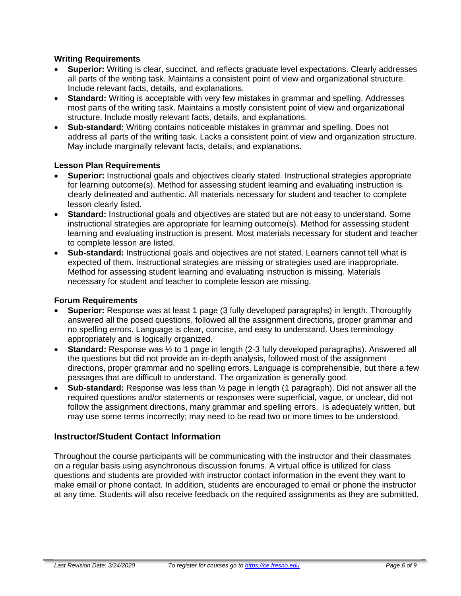#### **Writing Requirements**

- **Superior:** Writing is clear, succinct, and reflects graduate level expectations. Clearly addresses all parts of the writing task. Maintains a consistent point of view and organizational structure. Include relevant facts, details, and explanations.
- **Standard:** Writing is acceptable with very few mistakes in grammar and spelling. Addresses most parts of the writing task. Maintains a mostly consistent point of view and organizational structure. Include mostly relevant facts, details, and explanations.
- **Sub-standard:** Writing contains noticeable mistakes in grammar and spelling. Does not address all parts of the writing task. Lacks a consistent point of view and organization structure. May include marginally relevant facts, details, and explanations.

#### **Lesson Plan Requirements**

- **Superior:** Instructional goals and objectives clearly stated. Instructional strategies appropriate for learning outcome(s). Method for assessing student learning and evaluating instruction is clearly delineated and authentic. All materials necessary for student and teacher to complete lesson clearly listed.
- **Standard:** Instructional goals and objectives are stated but are not easy to understand. Some instructional strategies are appropriate for learning outcome(s). Method for assessing student learning and evaluating instruction is present. Most materials necessary for student and teacher to complete lesson are listed.
- **Sub-standard:** Instructional goals and objectives are not stated. Learners cannot tell what is expected of them. Instructional strategies are missing or strategies used are inappropriate. Method for assessing student learning and evaluating instruction is missing. Materials necessary for student and teacher to complete lesson are missing.

#### **Forum Requirements**

- **Superior:** Response was at least 1 page (3 fully developed paragraphs) in length. Thoroughly answered all the posed questions, followed all the assignment directions, proper grammar and no spelling errors. Language is clear, concise, and easy to understand. Uses terminology appropriately and is logically organized.
- **Standard:** Response was ½ to 1 page in length (2-3 fully developed paragraphs). Answered all the questions but did not provide an in-depth analysis, followed most of the assignment directions, proper grammar and no spelling errors. Language is comprehensible, but there a few passages that are difficult to understand. The organization is generally good.
- **Sub-standard:** Response was less than ½ page in length (1 paragraph). Did not answer all the required questions and/or statements or responses were superficial, vague, or unclear, did not follow the assignment directions, many grammar and spelling errors. Is adequately written, but may use some terms incorrectly; may need to be read two or more times to be understood.

# **Instructor/Student Contact Information**

Throughout the course participants will be communicating with the instructor and their classmates on a regular basis using asynchronous discussion forums. A virtual office is utilized for class questions and students are provided with instructor contact information in the event they want to make email or phone contact. In addition, students are encouraged to email or phone the instructor at any time. Students will also receive feedback on the required assignments as they are submitted.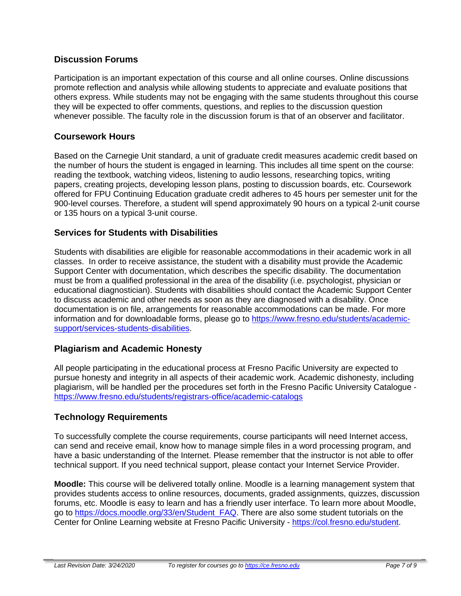# **Discussion Forums**

Participation is an important expectation of this course and all online courses. Online discussions promote reflection and analysis while allowing students to appreciate and evaluate positions that others express. While students may not be engaging with the same students throughout this course they will be expected to offer comments, questions, and replies to the discussion question whenever possible. The faculty role in the discussion forum is that of an observer and facilitator.

# **Coursework Hours**

Based on the Carnegie Unit standard, a unit of graduate credit measures academic credit based on the number of hours the student is engaged in learning. This includes all time spent on the course: reading the textbook, watching videos, listening to audio lessons, researching topics, writing papers, creating projects, developing lesson plans, posting to discussion boards, etc. Coursework offered for FPU Continuing Education graduate credit adheres to 45 hours per semester unit for the 900-level courses. Therefore, a student will spend approximately 90 hours on a typical 2-unit course or 135 hours on a typical 3-unit course.

# **Services for Students with Disabilities**

Students with disabilities are eligible for reasonable accommodations in their academic work in all classes. In order to receive assistance, the student with a disability must provide the Academic Support Center with documentation, which describes the specific disability. The documentation must be from a qualified professional in the area of the disability (i.e. psychologist, physician or educational diagnostician). Students with disabilities should contact the Academic Support Center to discuss academic and other needs as soon as they are diagnosed with a disability. Once documentation is on file, arrangements for reasonable accommodations can be made. For more information and for downloadable forms, please go to [https://www.fresno.edu/students/academic](https://www.fresno.edu/students/academic-support/services-students-disabilities)[support/services-students-disabilities.](https://www.fresno.edu/students/academic-support/services-students-disabilities)

# **Plagiarism and Academic Honesty**

All people participating in the educational process at Fresno Pacific University are expected to pursue honesty and integrity in all aspects of their academic work. Academic dishonesty, including plagiarism, will be handled per the procedures set forth in the Fresno Pacific University Catalogue <https://www.fresno.edu/students/registrars-office/academic-catalogs>

# **Technology Requirements**

To successfully complete the course requirements, course participants will need Internet access, can send and receive email, know how to manage simple files in a word processing program, and have a basic understanding of the Internet. Please remember that the instructor is not able to offer technical support. If you need technical support, please contact your Internet Service Provider.

**Moodle:** This course will be delivered totally online. Moodle is a learning management system that provides students access to online resources, documents, graded assignments, quizzes, discussion forums, etc. Moodle is easy to learn and has a friendly user interface. To learn more about Moodle, go to [https://docs.moodle.org/33/en/Student\\_FAQ.](https://docs.moodle.org/33/en/Student_FAQ) There are also some student tutorials on the Center for Online Learning website at Fresno Pacific University - [https://col.fresno.edu/student.](https://col.fresno.edu/student)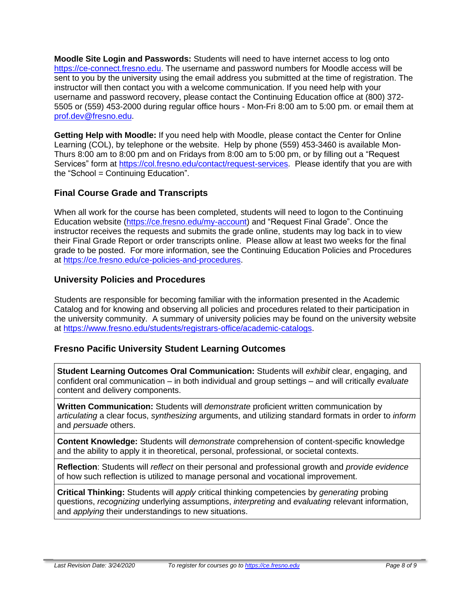**Moodle Site Login and Passwords:** Students will need to have internet access to log onto [https://ce-connect.fresno.edu.](https://ce-connect.fresno.edu/) The username and password numbers for Moodle access will be sent to you by the university using the email address you submitted at the time of registration. The instructor will then contact you with a welcome communication. If you need help with your username and password recovery, please contact the Continuing Education office at (800) 372- 5505 or (559) 453-2000 during regular office hours - Mon-Fri 8:00 am to 5:00 pm. or email them at [prof.dev@fresno.edu.](mailto:prof.dev@fresno.edu)

**Getting Help with Moodle:** If you need help with Moodle, please contact the Center for Online Learning (COL), by telephone or the website. Help by phone (559) 453-3460 is available Mon-Thurs 8:00 am to 8:00 pm and on Fridays from 8:00 am to 5:00 pm, or by filling out a "Request Services" form at [https://col.fresno.edu/contact/request-services.](https://col.fresno.edu/contact/request-services) Please identify that you are with the "School = Continuing Education".

# **Final Course Grade and Transcripts**

When all work for the course has been completed, students will need to logon to the Continuing Education website [\(https://ce.fresno.edu/my-account\)](https://ce.fresno.edu/my-account) and "Request Final Grade". Once the instructor receives the requests and submits the grade online, students may log back in to view their Final Grade Report or order transcripts online. Please allow at least two weeks for the final grade to be posted. For more information, see the Continuing Education Policies and Procedures at [https://ce.fresno.edu/ce-policies-and-procedures.](https://ce.fresno.edu/ce-policies-and-procedures)

# **University Policies and Procedures**

Students are responsible for becoming familiar with the information presented in the Academic Catalog and for knowing and observing all policies and procedures related to their participation in the university community. A summary of university policies may be found on the university website at [https://www.fresno.edu/students/registrars-office/academic-catalogs.](https://www.fresno.edu/students/registrars-office/academic-catalogs)

# **Fresno Pacific University Student Learning Outcomes**

**Student Learning Outcomes Oral Communication:** Students will *exhibit* clear, engaging, and confident oral communication – in both individual and group settings – and will critically *evaluate* content and delivery components.

**Written Communication:** Students will *demonstrate* proficient written communication by *articulating* a clear focus, *synthesizing* arguments, and utilizing standard formats in order to *inform* and *persuade* others.

**Content Knowledge:** Students will *demonstrate* comprehension of content-specific knowledge and the ability to apply it in theoretical, personal, professional, or societal contexts.

**Reflection**: Students will *reflect* on their personal and professional growth and *provide evidence* of how such reflection is utilized to manage personal and vocational improvement.

**Critical Thinking:** Students will *apply* critical thinking competencies by *generating* probing questions, *recognizing* underlying assumptions, *interpreting* and *evaluating* relevant information, and *applying* their understandings to new situations.